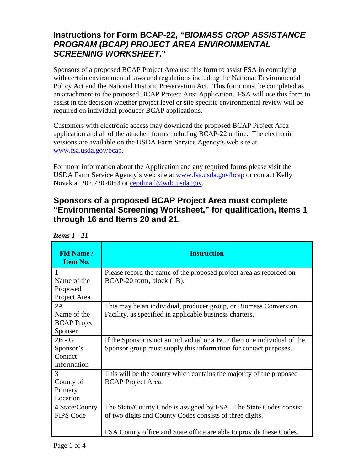## **Instructions for Form BCAP-22, "***BIOMASS CROP ASSISTANCE PROGRAM (BCAP) PROJECT AREA ENVIRONMENTAL SCREENING WORKSHEET***."**

Sponsors of a proposed BCAP Project Area use this form to assist FSA in complying with certain environmental laws and regulations including the National Environmental Policy Act and the National Historic Preservation Act. This form must be completed as an attachment to the proposed BCAP Project Area Application. FSA will use this form to assist in the decision whether project level or site specific environmental review will be required on individual producer BCAP applications.

Customers with electronic access may download the proposed BCAP Project Area application and all of the attached forms including BCAP-22 online. The electronic versions are available on the USDA Farm Service Agency's web site at [www.fsa.usda.gov/bcap.](http://www.fsa.usda.gov/bcap)

For more information about the Application and any required forms please visit the USDA Farm Service Agency's web site at [www.fsa.usda.gov/bcap](http://www.fsa.usda.gov/bcap) or contact Kelly Novak at 202.720.4053 or [cepdmail@wdc.usda.gov.](mailto:cepdmail@wdc.usda.gov)

## **Sponsors of a proposed BCAP Project Area must complete "Environmental Screening Worksheet," for qualification, Items 1 through 16 and Items 20 and 21.**

| <b>Fld Name /</b><br><b>Item No.</b>                | <b>Instruction</b>                                                                                                                                                                                   |
|-----------------------------------------------------|------------------------------------------------------------------------------------------------------------------------------------------------------------------------------------------------------|
| 1<br>Name of the<br>Proposed<br>Project Area        | Please record the name of the proposed project area as recorded on<br>BCAP-20 form, block (1B).                                                                                                      |
| 2A<br>Name of the<br><b>BCAP</b> Project<br>Sponser | This may be an individual, producer group, or Biomass Conversion<br>Facility, as specified in applicable business charters.                                                                          |
| $2B - G$<br>Sponsor's<br>Contact<br>Information     | If the Sponsor is not an individual or a BCF then one individual of the<br>Sponsor group must supply this information for contact purposes.                                                          |
| 3<br>County of<br>Primary<br>Location               | This will be the county which contains the majority of the proposed<br><b>BCAP</b> Project Area.                                                                                                     |
| 4 State/County<br><b>FIPS Code</b>                  | The State/County Code is assigned by FSA. The State Codes consist<br>of two digits and County Codes consists of three digits.<br>FSA County office and State office are able to provide these Codes. |

*Items 1 - 21*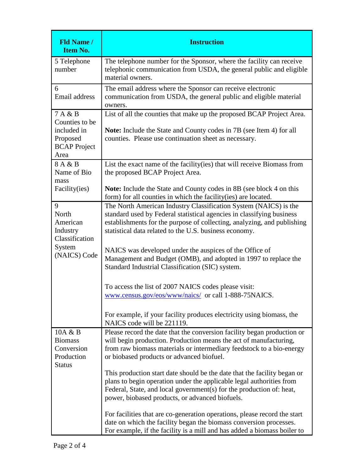| <b>Fld Name /</b><br><b>Item No.</b>                                                | <b>Instruction</b>                                                                                                                                                                                                                                                                                                                                                                                                                                                                                                                                                                                                                                                                                                                                                              |
|-------------------------------------------------------------------------------------|---------------------------------------------------------------------------------------------------------------------------------------------------------------------------------------------------------------------------------------------------------------------------------------------------------------------------------------------------------------------------------------------------------------------------------------------------------------------------------------------------------------------------------------------------------------------------------------------------------------------------------------------------------------------------------------------------------------------------------------------------------------------------------|
| 5 Telephone<br>number                                                               | The telephone number for the Sponsor, where the facility can receive<br>telephonic communication from USDA, the general public and eligible<br>material owners.                                                                                                                                                                                                                                                                                                                                                                                                                                                                                                                                                                                                                 |
| 6<br>Email address                                                                  | The email address where the Sponsor can receive electronic<br>communication from USDA, the general public and eligible material<br>owners.                                                                                                                                                                                                                                                                                                                                                                                                                                                                                                                                                                                                                                      |
| 7 A & B<br>Counties to be<br>included in<br>Proposed<br><b>BCAP</b> Project<br>Area | List of all the counties that make up the proposed BCAP Project Area.<br><b>Note:</b> Include the State and County codes in 7B (see Item 4) for all<br>counties. Please use continuation sheet as necessary.                                                                                                                                                                                                                                                                                                                                                                                                                                                                                                                                                                    |
| 8 A & B<br>Name of Bio<br>mass<br>Facility(ies)                                     | List the exact name of the facility (ies) that will receive Biomass from<br>the proposed BCAP Project Area.<br><b>Note:</b> Include the State and County codes in 8B (see block 4 on this                                                                                                                                                                                                                                                                                                                                                                                                                                                                                                                                                                                       |
| 9<br>North<br>American<br>Industry<br>Classification<br>System<br>(NAICS) Code      | form) for all counties in which the facility (ies) are located.<br>The North American Industry Classification System (NAICS) is the<br>standard used by Federal statistical agencies in classifying business<br>establishments for the purpose of collecting, analyzing, and publishing<br>statistical data related to the U.S. business economy.<br>NAICS was developed under the auspices of the Office of<br>Management and Budget (OMB), and adopted in 1997 to replace the<br>Standard Industrial Classification (SIC) system.<br>To access the list of 2007 NAICS codes please visit:<br>www.census.gov/eos/www/naics/ or call 1-888-75NAICS.<br>For example, if your facility produces electricity using biomass, the<br>NAICS code will be 221119.                      |
| 10A & B<br><b>Biomass</b><br>Conversion<br>Production<br><b>Status</b>              | Please record the date that the conversion facility began production or<br>will begin production. Production means the act of manufacturing,<br>from raw biomass materials or intermediary feedstock to a bio-energy<br>or biobased products or advanced biofuel.<br>This production start date should be the date that the facility began or<br>plans to begin operation under the applicable legal authorities from<br>Federal, State, and local government(s) for the production of: heat,<br>power, biobased products, or advanced biofuels.<br>For facilities that are co-generation operations, please record the start<br>date on which the facility began the biomass conversion processes.<br>For example, if the facility is a mill and has added a biomass boiler to |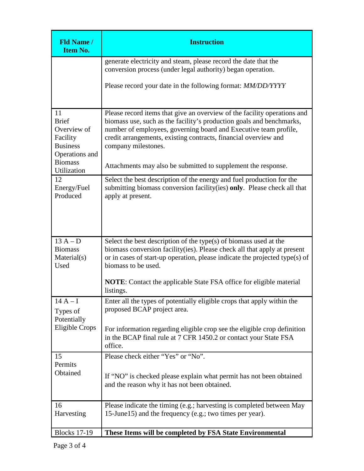| <b>Fld Name /</b><br><b>Item No.</b>                                                                                | <b>Instruction</b>                                                                                                                                                                                                                                                                                                                                                              |
|---------------------------------------------------------------------------------------------------------------------|---------------------------------------------------------------------------------------------------------------------------------------------------------------------------------------------------------------------------------------------------------------------------------------------------------------------------------------------------------------------------------|
|                                                                                                                     | generate electricity and steam, please record the date that the<br>conversion process (under legal authority) began operation.                                                                                                                                                                                                                                                  |
|                                                                                                                     | Please record your date in the following format: MM/DD/YYYY                                                                                                                                                                                                                                                                                                                     |
| 11<br><b>Brief</b><br>Overview of<br>Facility<br><b>Business</b><br>Operations and<br><b>Biomass</b><br>Utilization | Please record items that give an overview of the facility operations and<br>biomass use, such as the facility's production goals and benchmarks,<br>number of employees, governing board and Executive team profile,<br>credit arrangements, existing contracts, financial overview and<br>company milestones.<br>Attachments may also be submitted to supplement the response. |
| 12<br>Energy/Fuel<br>Produced                                                                                       | Select the best description of the energy and fuel production for the<br>submitting biomass conversion facility (ies) only. Please check all that<br>apply at present.                                                                                                                                                                                                          |
| $13A-D$<br><b>Biomass</b><br>Material(s)<br>Used                                                                    | Select the best description of the type $(s)$ of biomass used at the<br>biomass conversion facility (ies). Please check all that apply at present<br>or in cases of start-up operation, please indicate the projected type(s) of<br>biomass to be used.<br><b>NOTE:</b> Contact the applicable State FSA office for eligible material                                           |
| $14A-I$<br>Types of<br>Potentially<br><b>Eligible Crops</b>                                                         | listings.<br>Enter all the types of potentially eligible crops that apply within the<br>proposed BCAP project area.<br>For information regarding eligible crop see the eligible crop definition<br>in the BCAP final rule at 7 CFR 1450.2 or contact your State FSA<br>office.                                                                                                  |
| 15<br>Permits<br>Obtained                                                                                           | Please check either "Yes" or "No".<br>If "NO" is checked please explain what permit has not been obtained<br>and the reason why it has not been obtained.                                                                                                                                                                                                                       |
| 16<br>Harvesting                                                                                                    | Please indicate the timing (e.g.; harvesting is completed between May<br>15-June 15) and the frequency (e.g.; two times per year).                                                                                                                                                                                                                                              |
| <b>Blocks 17-19</b>                                                                                                 | These Items will be completed by FSA State Environmental                                                                                                                                                                                                                                                                                                                        |